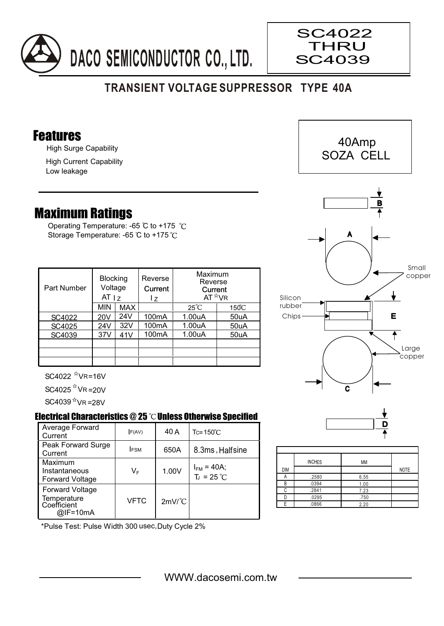

## **TRANSIENT VOLTAGE SUPPRESSOR TYPE 40A**

## Features

High Surge Capability

High Current Capability Low leakage

## Maximum Ratings

Operating Temperature: -65 °C to +175 °C Storage Temperature: -65 °C to +175 °C

| Part Number | <b>Blocking</b><br>Voltage<br>AT <sub>17</sub> |     | Reverse<br>Current<br>l z | Maximum<br>Reverse<br>Current<br>$AT^{\star}VR$ |                 |
|-------------|------------------------------------------------|-----|---------------------------|-------------------------------------------------|-----------------|
|             | <b>MIN</b>                                     | MAX |                           | $25^{\circ}C$                                   | $150^{\circ}$ C |
| SC4022      | 20V                                            | 24V | 100 <sub>m</sub> A        | 1.00uA                                          | 50uA            |
| SC4025      | 24V                                            | 32V | 100 <sub>m</sub> A        | 1.00uA                                          | 50uA            |
| SC4039      | 37V                                            | 41V | 100 <sub>m</sub> A        | 1.00uA                                          | 50uA            |
|             |                                                |     |                           |                                                 |                 |
|             |                                                |     |                           |                                                 |                 |
|             |                                                |     |                           |                                                 |                 |

 $SC4022$   $N$ VR=16V

 $SC4025$   $N$  VR = 20V

 $SC4039$ <sup> $\text{W}$ </sup>VR = 28V

## Electrical Characteristics  $@25$   $^{\circ}\text{C}$  Unless Otherwise Specified

| Average Forward<br>Current                                       | F(AV)       | 40 A                 | $Tc = 150^{\circ}$ C               |
|------------------------------------------------------------------|-------------|----------------------|------------------------------------|
| Peak Forward Surge<br>Current                                    | <b>IFSM</b> | 650A                 | 8.3ms, Halfsine                    |
| Maximum<br>Instantaneous<br><b>Forward Voltage</b>               | V⊧          | 1.00V                | $I_{FM} = 40A;$<br>$T_{J}$ = 25 °C |
| <b>Forward Voltage</b><br>Temperature<br>Coefficient<br>@IF=10mA | VFTC        | $2mV$ <sup>°</sup> C |                                    |



SC4022 THRU

SC4039





|            | <b>INCHES</b> | MM   |             |
|------------|---------------|------|-------------|
| <b>DIM</b> |               |      | <b>NOTE</b> |
|            | .2580         | 6.55 |             |
| R          | .0394         | 1.00 |             |
|            | .2841         | 7.23 |             |
|            | .0295         | .750 |             |
| E          | .0866         | 2.20 |             |

\*Pulse Test: Pulse Width 300 usec,Duty Cycle 2%